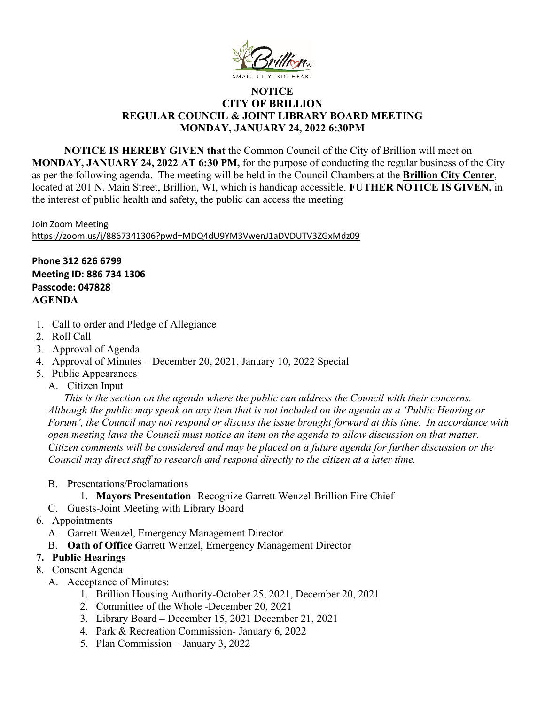

## **NOTICE CITY OF BRILLION REGULAR COUNCIL & JOINT LIBRARY BOARD MEETING MONDAY, JANUARY 24, 2022 6:30PM**

**NOTICE IS HEREBY GIVEN that** the Common Council of the City of Brillion will meet on **MONDAY, JANUARY 24, 2022 AT 6:30 PM,** for the purpose of conducting the regular business of the City as per the following agenda. The meeting will be held in the Council Chambers at the **Brillion City Center**, located at 201 N. Main Street, Brillion, WI, which is handicap accessible. **FUTHER NOTICE IS GIVEN,** in the interest of public health and safety, the public can access the meeting

Join Zoom Meeting <https://zoom.us/j/8867341306?pwd=MDQ4dU9YM3VwenJ1aDVDUTV3ZGxMdz09>

**Phone 312 626 6799 Meeting ID: 886 734 1306 Passcode: 047828 AGENDA**

- 1. Call to order and Pledge of Allegiance
- 2. Roll Call
- 3. Approval of Agenda
- 4. Approval of Minutes December 20, 2021, January 10, 2022 Special
- 5. Public Appearances
	- A. Citizen Input

*This is the section on the agenda where the public can address the Council with their concerns. Although the public may speak on any item that is not included on the agenda as a 'Public Hearing or Forum', the Council may not respond or discuss the issue brought forward at this time. In accordance with open meeting laws the Council must notice an item on the agenda to allow discussion on that matter. Citizen comments will be considered and may be placed on a future agenda for further discussion or the Council may direct staff to research and respond directly to the citizen at a later time.* 

- B. Presentations/Proclamations
	- 1. **Mayors Presentation** Recognize Garrett Wenzel-Brillion Fire Chief
- C. Guests-Joint Meeting with Library Board
- 6. Appointments
	- A. Garrett Wenzel, Emergency Management Director
	- B. **Oath of Office** Garrett Wenzel, Emergency Management Director

## **7. Public Hearings**

- 8. Consent Agenda
	- A. Acceptance of Minutes:
		- 1. Brillion Housing Authority-October 25, 2021, December 20, 2021
		- 2. Committee of the Whole -December 20, 2021
		- 3. Library Board December 15, 2021 December 21, 2021
		- 4. Park & Recreation Commission- January 6, 2022
		- 5. Plan Commission January 3, 2022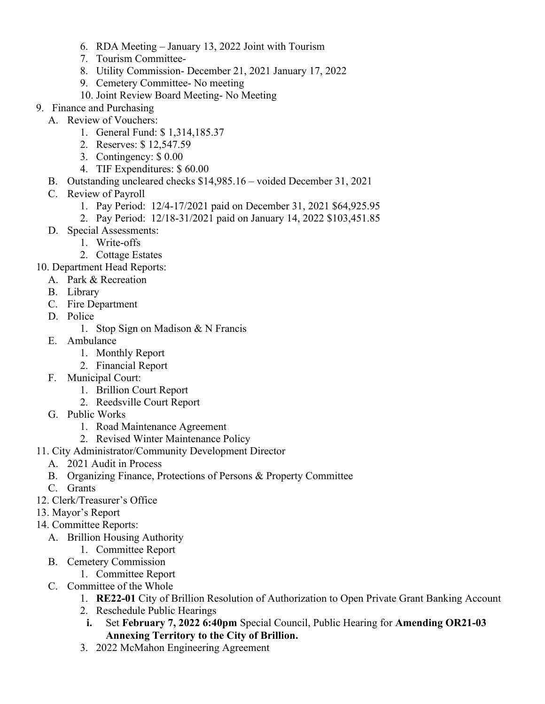- 6. RDA Meeting January 13, 2022 Joint with Tourism
- 7. Tourism Committee-
- 8. Utility Commission- December 21, 2021 January 17, 2022
- 9. Cemetery Committee- No meeting
- 10. Joint Review Board Meeting- No Meeting
- 9. Finance and Purchasing
	- A. Review of Vouchers:
		- 1. General Fund: \$ 1,314,185.37
		- 2. Reserves: \$ 12,547.59
		- 3. Contingency: \$ 0.00
		- 4. TIF Expenditures: \$ 60.00
	- B. Outstanding uncleared checks \$14,985.16 voided December 31, 2021
	- C. Review of Payroll
		- 1. Pay Period: 12/4-17/2021 paid on December 31, 2021 \$64,925.95
		- 2. Pay Period: 12/18-31/2021 paid on January 14, 2022 \$103,451.85
	- D. Special Assessments:
		- 1. Write-offs
		- 2. Cottage Estates
- 10. Department Head Reports:
	- A. Park & Recreation
	- B. Library
	- C. Fire Department
	- D. Police
		- 1. Stop Sign on Madison & N Francis
	- E. Ambulance
		- 1. Monthly Report
		- 2. Financial Report
	- F. Municipal Court:
		- 1. Brillion Court Report
		- 2. Reedsville Court Report
	- G. Public Works
		- 1. Road Maintenance Agreement
		- 2. Revised Winter Maintenance Policy
- 11. City Administrator/Community Development Director
	- A. 2021 Audit in Process
	- B. Organizing Finance, Protections of Persons & Property Committee
	- C. Grants
- 12. Clerk/Treasurer's Office
- 13. Mayor's Report
- 14. Committee Reports:
	- A. Brillion Housing Authority
		- 1. Committee Report
	- B. Cemetery Commission
		- 1. Committee Report
	- C. Committee of the Whole
		- 1. **RE22-01** City of Brillion Resolution of Authorization to Open Private Grant Banking Account
		- 2. Reschedule Public Hearings
		- **i.** Set **February 7, 2022 6:40pm** Special Council, Public Hearing for **Amending OR21-03 Annexing Territory to the City of Brillion.**
		- 3. 2022 McMahon Engineering Agreement